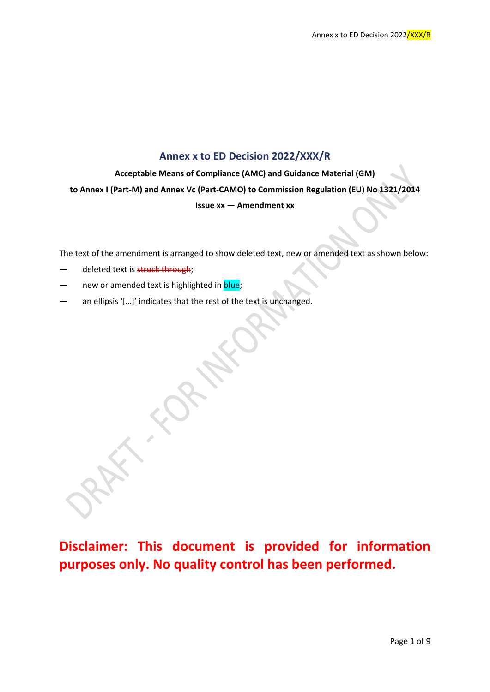### **Annex x to ED Decision 2022/XXX/R**

**Acceptable Means of Compliance (AMC) and Guidance Material (GM) to Annex I (Part-M) and Annex Vc (Part-CAMO) to Commission Regulation (EU) No 1321/2014 Issue xx — Amendment xx**

The text of the amendment is arranged to show deleted text, new or amended text as shown below:

- deleted text is struck through;
- new or amended text is highlighted in blue;
- an ellipsis '[...]' indicates that the rest of the text is unchanged.

**Disclaimer: This document is provided for information purposes only. No quality control has been performed.**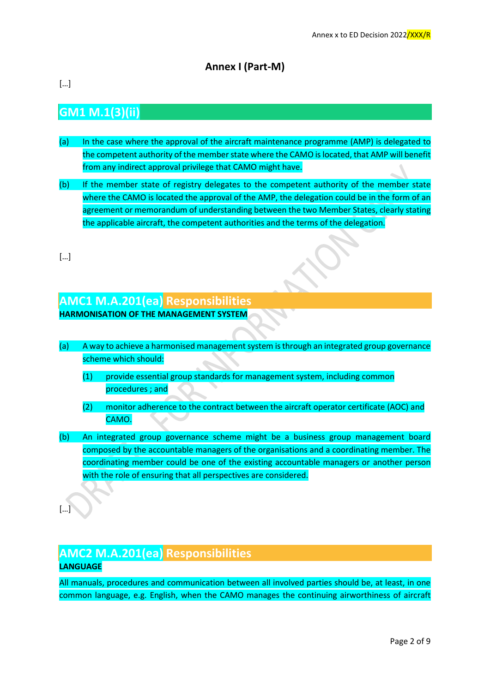## **Annex I (Part-M)**

[…]

## **GM1 M.1(3)(ii)**

- (a) In the case where the approval of the aircraft maintenance programme (AMP) is delegated to the competent authority of the member state where the CAMO is located, that AMP will benefit from any indirect approval privilege that CAMO might have.
- (b) If the member state of registry delegates to the competent authority of the member state where the CAMO is located the approval of the AMP, the delegation could be in the form of an agreement or memorandum of understanding between the two Member States, clearly stating the applicable aircraft, the competent authorities and the terms of the delegation.

[…]

[…]

## **AMC1 M.A.201(ea) Responsibilities HARMONISATION OF THE MANAGEMENT SYSTEM**

- (a) A way to achieve a harmonised management system is through an integrated group governance scheme which should:
	- (1) provide essential group standards for management system, including common procedures ; and
	- (2) monitor adherence to the contract between the aircraft operator certificate (AOC) and CAMO.
- (b) An integrated group governance scheme might be a business group management board composed by the accountable managers of the organisations and a coordinating member. The coordinating member could be one of the existing accountable managers or another person with the role of ensuring that all perspectives are considered.

### **AMC2 M.A.201(ea) Responsibilities LANGUAGE**

All manuals, procedures and communication between all involved parties should be, at least, in one common language, e.g. English, when the CAMO manages the continuing airworthiness of aircraft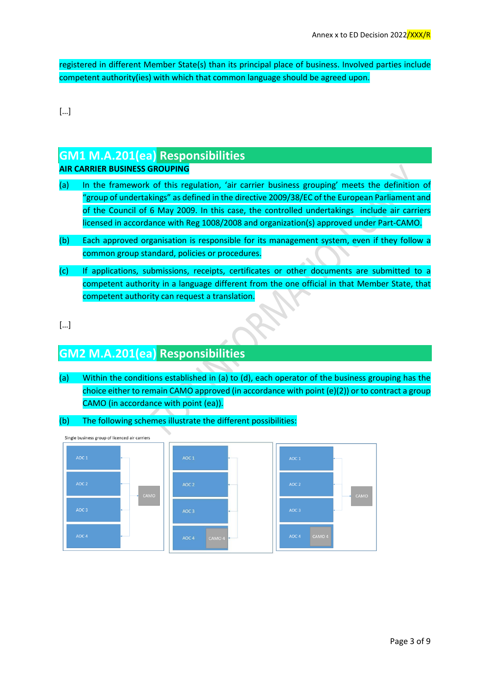registered in different Member State(s) than its principal place of business. Involved parties include competent authority(ies) with which that common language should be agreed upon.

[…]

### **GM1 M.A.201(ea) Responsibilities**

#### **AIR CARRIER BUSINESS GROUPING**

- (a) In the framework of this regulation, 'air carrier business grouping' meets the definition of "group of undertakings" as defined in the directive 2009/38/EC of the European Parliament and of the Council of 6 May 2009. In this case, the controlled undertakings include air carriers licensed in accordance with Reg 1008/2008 and organization(s) approved under Part-CAMO.
- (b) Each approved organisation is responsible for its management system, even if they follow a common group standard, policies or procedures.
- (c) If applications, submissions, receipts, certificates or other documents are submitted to a competent authority in a language different from the one official in that Member State, that competent authority can request a translation.
- […]

## **GM2 M.A.201(ea) Responsibilities**

(a) Within the conditions established in (a) to (d), each operator of the business grouping has the choice either to remain CAMO approved (in accordance with point (e)(2)) or to contract a group CAMO (in accordance with point (ea)).

#### (b) The following schemes illustrate the different possibilities:

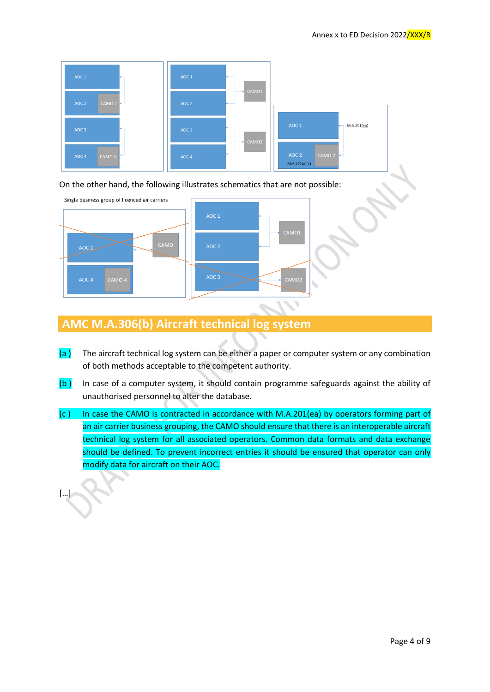

On the other hand, the following illustrates schematics that are not possible:



## **AMC M.A.306(b) Aircraft technical log system**

[…]

- $(a)$  The aircraft technical log system can be either a paper or computer system or any combination of both methods acceptable to the competent authority.
- (b ) In case of a computer system, it should contain programme safeguards against the ability of unauthorised personnel to alter the database.
- (c ) In case the CAMO is contracted in accordance with M.A.201(ea) by operators forming part of an air carrier business grouping, the CAMO should ensure that there is an interoperable aircraft technical log system for all associated operators. Common data formats and data exchange should be defined. To prevent incorrect entries it should be ensured that operator can only modify data for aircraft on their AOC.

Page 4 of 9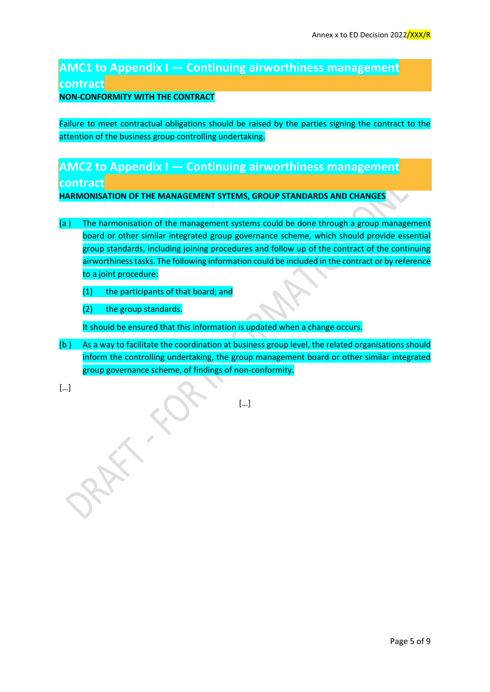# **AMC1 to Appendix I — Continuing airworthiness management contract**

#### **NON-CONFORMITY WITH THE CONTRACT**

Failure to meet contractual obligations should be raised by the parties signing the contract to the attention of the business group controlling undertaking.

# **AMC2 to Appendix I — Continuing airworthiness management**

### **contract**

**HARMONISATION OF THE MANAGEMENT SYTEMS, GROUP STANDARDS AND CHANGES** 

- (a ) The harmonisation of the management systems could be done through a group management board or other similar integrated group governance scheme, which should provide essential group standards, including joining procedures and follow up of the contract of the continuing airworthiness tasks. The following information could be included in the contract or by reference to a joint procedure:
	- (1) the participants of that board; and
	- (2) the group standards.

It should be ensured that this information is updated when a change occurs.

(b ) As a way to facilitate the coordination at business group level, the related organisations should inform the controlling undertaking, the group management board or other similar integrated group governance scheme, of findings of non-conformity.

[…]

[…]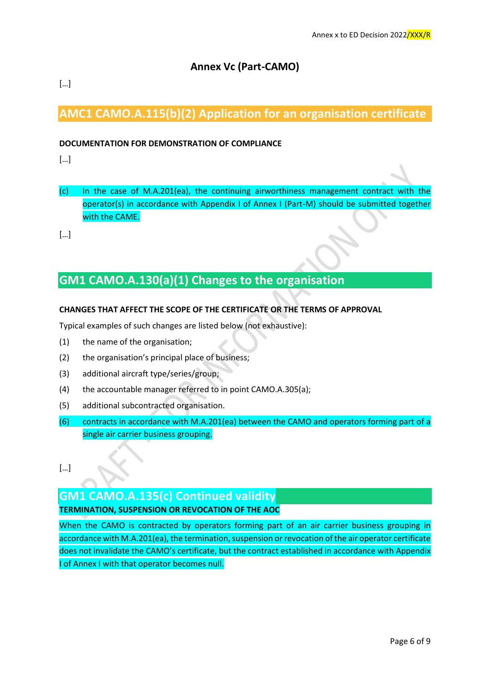### **Annex Vc (Part-CAMO)**

### […]

## **AMC1 CAMO.A.115(b)(2) Application for an organisation certificate**

#### **DOCUMENTATION FOR DEMONSTRATION OF COMPLIANCE**

[…]

(c) In the case of M.A.201(ea), the continuing airworthiness management contract with the operator(s) in accordance with Appendix I of Annex I (Part-M) should be submitted together with the CAME.

[…]

## **GM1 CAMO.A.130(a)(1) Changes to the organisation**

#### **CHANGES THAT AFFECT THE SCOPE OF THE CERTIFICATE OR THE TERMS OF APPROVAL**

Typical examples of such changes are listed below (not exhaustive):

- (1) the name of the organisation;
- (2) the organisation's principal place of business;
- (3) additional aircraft type/series/group;
- (4) the accountable manager referred to in point CAMO.A.305(a);
- (5) additional subcontracted organisation.
- (6) contracts in accordance with M.A.201(ea) between the CAMO and operators forming part of a single air carrier business grouping.

[…]

### **GM1 CAMO.A.135(c) Continued validity**

#### **TERMINATION, SUSPENSION OR REVOCATION OF THE AOC**

When the CAMO is contracted by operators forming part of an air carrier business grouping in accordance with M.A.201(ea), the termination, suspension or revocation of the air operator certificate does not invalidate the CAMO's certificate, but the contract established in accordance with Appendix I of Annex I with that operator becomes null.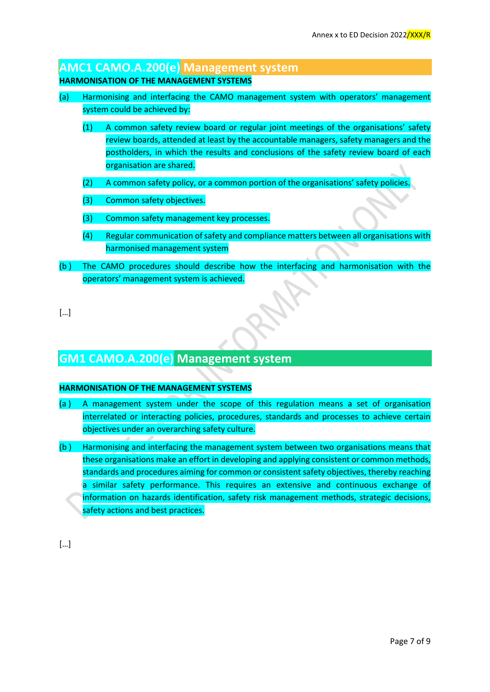### **AMC1 CAMO.A.200(e) Management system**

### **HARMONISATION OF THE MANAGEMENT SYSTEMS**

- (a) Harmonising and interfacing the CAMO management system with operators' management system could be achieved by:
	- (1) A common safety review board or regular joint meetings of the organisations' safety review boards, attended at least by the accountable managers, safety managers and the postholders, in which the results and conclusions of the safety review board of each organisation are shared.
	- (2) A common safety policy, or a common portion of the organisations' safety policies.
	- (3) Common safety objectives.
	- (3) Common safety management key processes.
	- (4) Regular communication of safety and compliance matters between all organisations with harmonised management system
- (b ) The CAMO procedures should describe how the interfacing and harmonisation with the operators' management system is achieved.
- […]

## **GM1 CAMO.A.200(e) Management system**

#### **HARMONISATION OF THE MANAGEMENT SYSTEMS**

- (a ) A management system under the scope of this regulation means a set of organisation interrelated or interacting policies, procedures, standards and processes to achieve certain objectives under an overarching safety culture.
- (b ) Harmonising and interfacing the management system between two organisations means that these organisations make an effort in developing and applying consistent or common methods, standards and procedures aiming for common or consistent safety objectives, thereby reaching a similar safety performance. This requires an extensive and continuous exchange of information on hazards identification, safety risk management methods, strategic decisions, safety actions and best practices.

[…]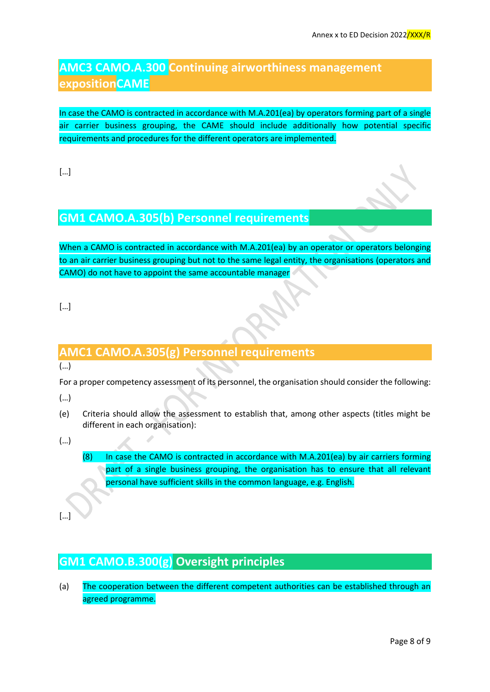## **AMC3 CAMO.A.300 Continuing airworthiness management expositionCAME**

In case the CAMO is contracted in accordance with M.A.201(ea) by operators forming part of a single air carrier business grouping, the CAME should include additionally how potential specific requirements and procedures for the different operators are implemented.

[…]

## **GM1 CAMO.A.305(b) Personnel requirements**

When a CAMO is contracted in accordance with M.A.201(ea) by an operator or operators belonging to an air carrier business grouping but not to the same legal entity, the organisations (operators and CAMO) do not have to appoint the same accountable manager

[…]

## **AMC1 CAMO.A.305(g) Personnel requirements**

(…)

For a proper competency assessment of its personnel, the organisation should consider the following:

(…)

(e) Criteria should allow the assessment to establish that, among other aspects (titles might be different in each organisation):

(…)

(8) In case the CAMO is contracted in accordance with M.A.201(ea) by air carriers forming part of a single business grouping, the organisation has to ensure that all relevant personal have sufficient skills in the common language, e.g. English.

[…]

# **GM1 CAMO.B.300(g) Oversight principles**

(a) The cooperation between the different competent authorities can be established through an agreed programme.